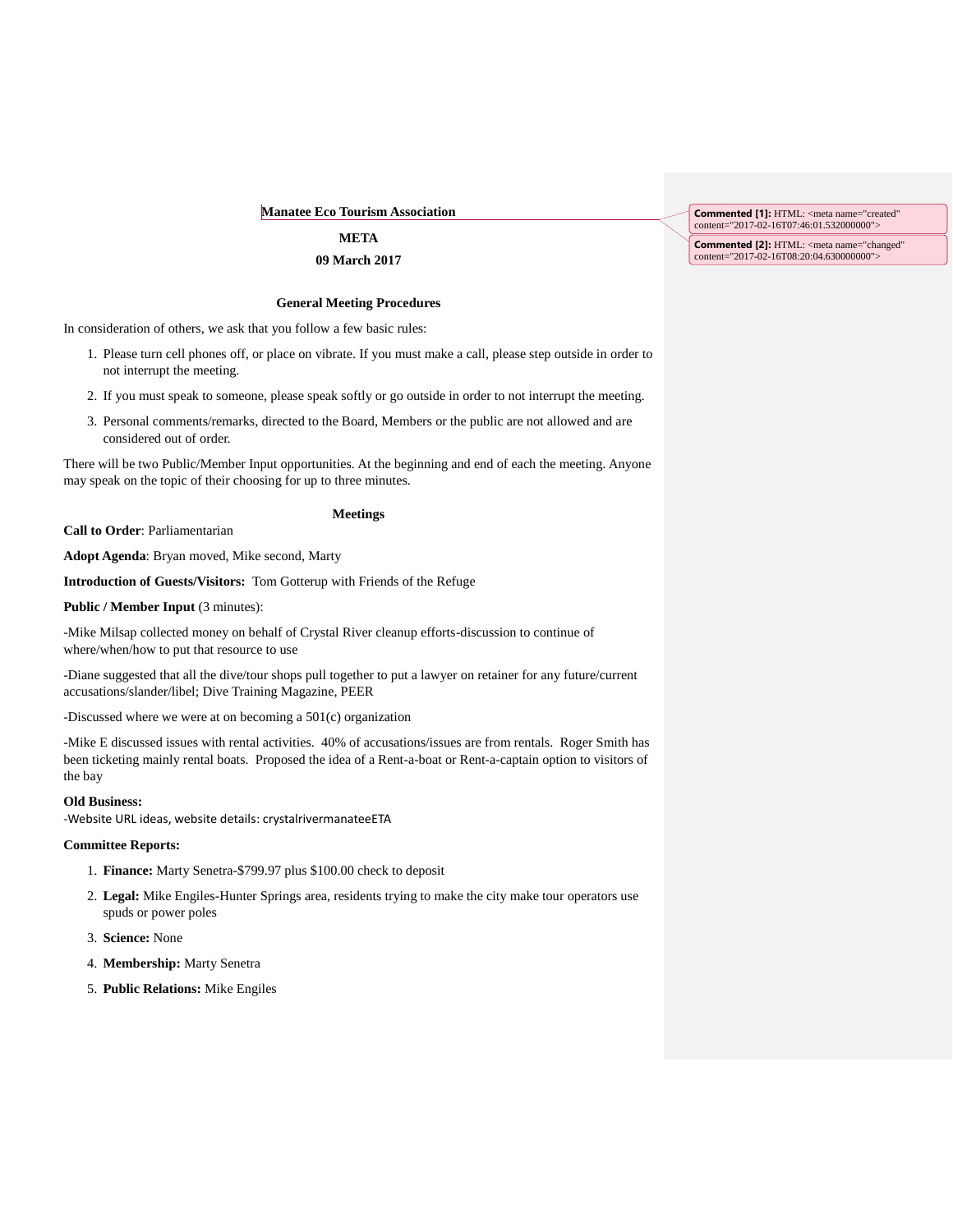## **Manatee Eco Tourism Association**

# **META 09 March 2017**

#### **General Meeting Procedures**

In consideration of others, we ask that you follow a few basic rules:

- 1. Please turn cell phones off, or place on vibrate. If you must make a call, please step outside in order to not interrupt the meeting.
- 2. If you must speak to someone, please speak softly or go outside in order to not interrupt the meeting.
- 3. Personal comments/remarks, directed to the Board, Members or the public are not allowed and are considered out of order.

There will be two Public/Member Input opportunities. At the beginning and end of each the meeting. Anyone may speak on the topic of their choosing for up to three minutes.

### **Meetings**

**Call to Order**: Parliamentarian

**Adopt Agenda**: Bryan moved, Mike second, Marty

**Introduction of Guests/Visitors:** Tom Gotterup with Friends of the Refuge

**Public / Member Input (3 minutes):** 

-Mike Milsap collected money on behalf of Crystal River cleanup efforts-discussion to continue of where/when/how to put that resource to use

-Diane suggested that all the dive/tour shops pull together to put a lawyer on retainer for any future/current accusations/slander/libel; Dive Training Magazine, PEER

-Discussed where we were at on becoming a 501(c) organization

-Mike E discussed issues with rental activities. 40% of accusations/issues are from rentals. Roger Smith has been ticketing mainly rental boats. Proposed the idea of a Rent-a-boat or Rent-a-captain option to visitors of the bay

### **Old Business:**

-Website URL ideas, website details: crystalrivermanateeETA

### **Committee Reports:**

- 1. **Finance:** Marty Senetra-\$799.97 plus \$100.00 check to deposit
- 2. **Legal:** Mike Engiles-Hunter Springs area, residents trying to make the city make tour operators use spuds or power poles
- 3. **Science:** None
- 4. **Membership:** Marty Senetra
- 5. **Public Relations:** Mike Engiles

**Commented [1]:** HTML: <meta name="created" content="2017-02-16T07:46:01.532000000">

**Commented [2]:** HTML: <meta name="changed" content="2017-02-16T08:20:04.630000000">